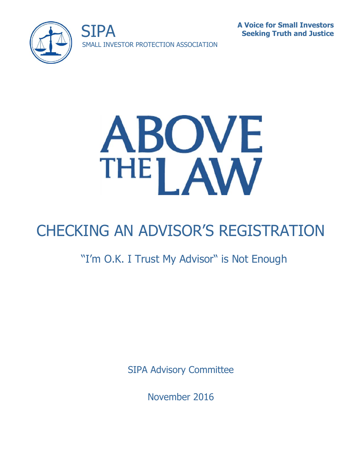





# CHECKING AN ADVISOR'S REGISTRATION

# "I'm O.K. I Trust My Advisor" is Not Enough

SIPA Advisory Committee

November 2016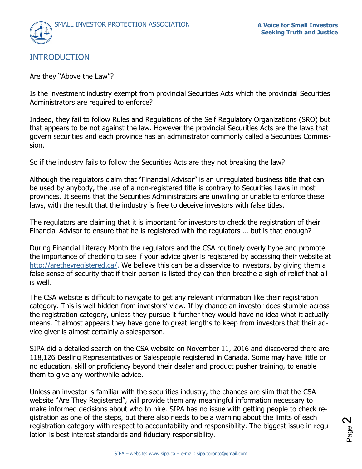

# INTRODUCTION

Are they "Above the Law"?

Is the investment industry exempt from provincial Securities Acts which the provincial Securities Administrators are required to enforce?

Indeed, they fail to follow Rules and Regulations of the Self Regulatory Organizations (SRO) but that appears to be not against the law. However the provincial Securities Acts are the laws that govern securities and each province has an administrator commonly called a Securities Commission.

So if the industry fails to follow the Securities Acts are they not breaking the law?

Although the regulators claim that "Financial Advisor" is an unregulated business title that can be used by anybody, the use of a non-registered title is contrary to Securities Laws in most provinces. It seems that the Securities Administrators are unwilling or unable to enforce these laws, with the result that the industry is free to deceive investors with false titles.

The regulators are claiming that it is important for investors to check the registration of their Financial Advisor to ensure that he is registered with the regulators … but is that enough?

During Financial Literacy Month the regulators and the CSA routinely overly hype and promote the importance of checking to see if your advice giver is registered by accessing their website at [http://aretheyregistered.ca/.](http://aretheyregistered.ca/) We believe this can be a disservice to investors, by giving them a false sense of security that if their person is listed they can then breathe a sigh of relief that all is well.

The CSA website is difficult to navigate to get any relevant information like their registration category. This is well hidden from investors' view. If by chance an investor does stumble across the registration category, unless they pursue it further they would have no idea what it actually means. It almost appears they have gone to great lengths to keep from investors that their advice giver is almost certainly a salesperson.

SIPA did a detailed search on the CSA website on November 11, 2016 and discovered there are 118,126 Dealing Representatives or Salespeople registered in Canada. Some may have little or no education, skill or proficiency beyond their dealer and product pusher training, to enable them to give any worthwhile advice.

Unless an investor is familiar with the securities industry, the chances are slim that the CSA website "Are They Registered", will provide them any meaningful information necessary to make informed decisions about who to hire. SIPA has no issue with getting people to check registration as one of the steps, but there also needs to be a warning about the limits of each registration category with respect to accountability and responsibility. The biggest issue in regulation is best interest standards and fiduciary responsibility.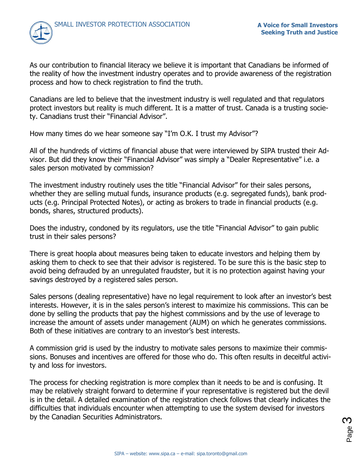

As our contribution to financial literacy we believe it is important that Canadians be informed of the reality of how the investment industry operates and to provide awareness of the registration process and how to check registration to find the truth.

Canadians are led to believe that the investment industry is well regulated and that regulators protect investors but reality is much different. It is a matter of trust. Canada is a trusting society. Canadians trust their "Financial Advisor".

How many times do we hear someone say "I'm O.K. I trust my Advisor"?

All of the hundreds of victims of financial abuse that were interviewed by SIPA trusted their Advisor. But did they know their "Financial Advisor" was simply a "Dealer Representative" i.e. a sales person motivated by commission?

The investment industry routinely uses the title "Financial Advisor" for their sales persons, whether they are selling mutual funds, insurance products (e.g. segregated funds), bank products (e.g. Principal Protected Notes), or acting as brokers to trade in financial products (e.g. bonds, shares, structured products).

Does the industry, condoned by its regulators, use the title "Financial Advisor" to gain public trust in their sales persons?

There is great hoopla about measures being taken to educate investors and helping them by asking them to check to see that their advisor is registered. To be sure this is the basic step to avoid being defrauded by an unregulated fraudster, but it is no protection against having your savings destroyed by a registered sales person.

Sales persons (dealing representative) have no legal requirement to look after an investor's best interests. However, it is in the sales person's interest to maximize his commissions. This can be done by selling the products that pay the highest commissions and by the use of leverage to increase the amount of assets under management (AUM) on which he generates commissions. Both of these initiatives are contrary to an investor's best interests.

A commission grid is used by the industry to motivate sales persons to maximize their commissions. Bonuses and incentives are offered for those who do. This often results in deceitful activity and loss for investors.

The process for checking registration is more complex than it needs to be and is confusing. It may be relatively straight forward to determine if your representative is registered but the devil is in the detail. A detailed examination of the registration check follows that clearly indicates the difficulties that individuals encounter when attempting to use the system devised for investors by the Canadian Securities Administrators.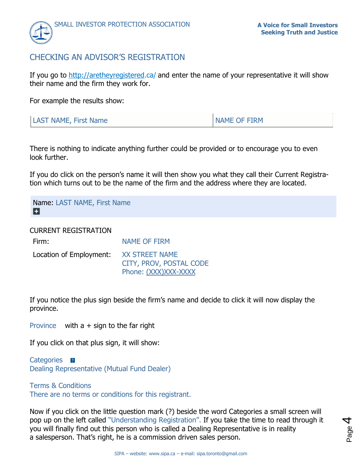

# CHECKING AN ADVISOR'S REGISTRATION

If you go to [http://aretheyregistered.](http://aretheyregistered/)ca/ and enter the name of your representative it will show their name and the firm they work for.

For example the results show:

| <b>LAST NAME, First Name</b> | NAME OF FIRM |
|------------------------------|--------------|
|                              |              |

There is nothing to indicate anything further could be provided or to encourage you to even look further.

If you do click on the person's name it will then show you what they call their Current Registration which turns out to be the name of the firm and the address where they are located.

Name: LAST NAME, First Name п

CURRENT REGISTRATION

| Firm:                                  | <b>NAME OF FIRM</b>                             |
|----------------------------------------|-------------------------------------------------|
| Location of Employment: XX STREET NAME | CITY, PROV, POSTAL CODE<br>Phone: (XXX)XXX-XXXX |

If you notice the plus sign beside the firm's name and decide to click it will now display the province.

Province with  $a +$  sign to the far right

If you click on that plus sign, it will show:

Categories **R** Dealing Representative (Mutual Fund Dealer)

#### Terms & Conditions

There are no terms or conditions for this registrant.

Now if you click on the little question mark (?) beside the word Categories a small screen will pop up on the left called "Understanding Registration". If you take the time to read through it you will finally find out this person who is called a Dealing Representative is in reality a salesperson. That's right, he is a commission driven sales person.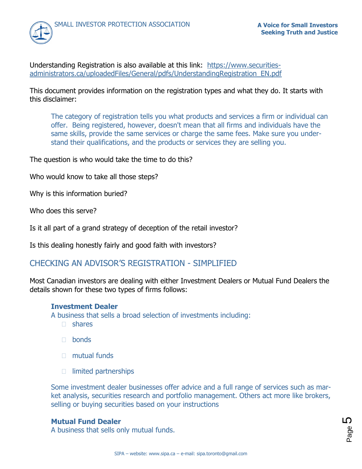

Understanding Registration is also available at this link: [https://www.securities](https://www.securities-administrators.ca/uploadedFiles/General/pdfs/UnderstandingRegistration_EN.pdf)[administrators.ca/uploadedFiles/General/pdfs/UnderstandingRegistration\\_EN.pdf](https://www.securities-administrators.ca/uploadedFiles/General/pdfs/UnderstandingRegistration_EN.pdf)

This document provides information on the registration types and what they do. It starts with this disclaimer:

The category of registration tells you what products and services a firm or individual can offer. Being registered, however, doesn't mean that all firms and individuals have the same skills, provide the same services or charge the same fees. Make sure you understand their qualifications, and the products or services they are selling you.

The question is who would take the time to do this?

Who would know to take all those steps?

Why is this information buried?

Who does this serve?

Is it all part of a grand strategy of deception of the retail investor?

Is this dealing honestly fairly and good faith with investors?

# CHECKING AN ADVISOR'S REGISTRATION - SIMPLIFIED

Most Canadian investors are dealing with either Investment Dealers or Mutual Fund Dealers the details shown for these two types of firms follows:

#### **Investment Dealer**

A business that sells a broad selection of investments including:

- $\Box$  shares
- n bonds
- $\Box$  mutual funds
- □ limited partnerships

Some investment dealer businesses offer advice and a full range of services such as market analysis, securities research and portfolio management. Others act more like brokers, selling or buying securities based on your instructions

#### **Mutual Fund Dealer**

A business that sells only mutual funds.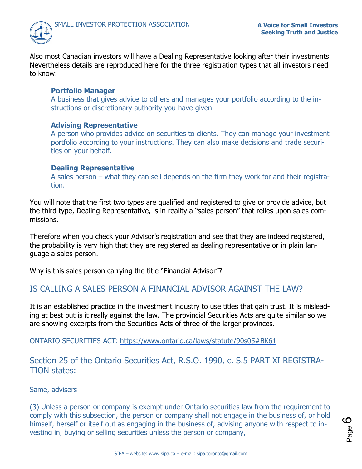

Also most Canadian investors will have a Dealing Representative looking after their investments. Nevertheless details are reproduced here for the three registration types that all investors need to know:

#### **Portfolio Manager**

A business that gives advice to others and manages your portfolio according to the instructions or discretionary authority you have given.

#### **Advising Representative**

A person who provides advice on securities to clients. They can manage your investment portfolio according to your instructions. They can also make decisions and trade securities on your behalf.

#### **Dealing Representative**

A sales person – what they can sell depends on the firm they work for and their registration.

You will note that the first two types are qualified and registered to give or provide advice, but the third type, Dealing Representative, is in reality a "sales person" that relies upon sales commissions.

Therefore when you check your Advisor's registration and see that they are indeed registered, the probability is very high that they are registered as dealing representative or in plain language a sales person.

Why is this sales person carrying the title "Financial Advisor"?

# IS CALLING A SALES PERSON A FINANCIAL ADVISOR AGAINST THE LAW?

It is an established practice in the investment industry to use titles that gain trust. It is misleading at best but is it really against the law. The provincial Securities Acts are quite similar so we are showing excerpts from the Securities Acts of three of the larger provinces.

ONTARIO SECURITIES ACT: <https://www.ontario.ca/laws/statute/90s05#BK61>

Section 25 of the Ontario Securities Act, R.S.O. 1990, c. S.5 PART XI REGISTRA-TION states:

#### Same, advisers

(3) Unless a person or company is exempt under Ontario securities law from the requirement to comply with this subsection, the person or company shall not engage in the business of, or hold himself, herself or itself out as engaging in the business of, advising anyone with respect to investing in, buying or selling securities unless the person or company,

Page လ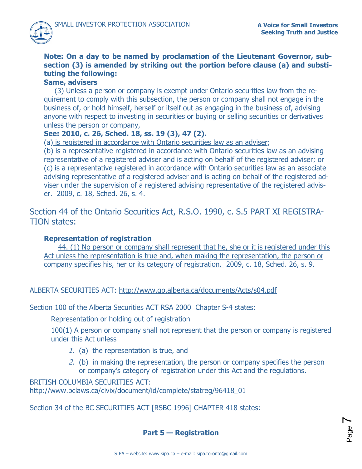# **Note: On a day to be named by proclamation of the Lieutenant Governor, subsection (3) is amended by striking out the portion before clause (a) and substituting the following:**

## **Same, advisers**

(3) Unless a person or company is exempt under Ontario securities law from the requirement to comply with this subsection, the person or company shall not engage in the business of, or hold himself, herself or itself out as engaging in the business of, advising anyone with respect to investing in securities or buying or selling securities or derivatives unless the person or company,

# **See: 2010, c. 26, Sched. 18, ss. 19 (3), 47 (2).**

(a) is registered in accordance with Ontario securities law as an adviser;

(b) is a representative registered in accordance with Ontario securities law as an advising representative of a registered adviser and is acting on behalf of the registered adviser; or (c) is a representative registered in accordance with Ontario securities law as an associate advising representative of a registered adviser and is acting on behalf of the registered adviser under the supervision of a registered advising representative of the registered adviser. 2009, c. 18, Sched. 26, s. 4.

Section 44 of the Ontario Securities Act, R.S.O. 1990, c. S.5 PART XI REGISTRA-TION states:

### **Representation of registration**

44. (1) No person or company shall represent that he, she or it is registered under this Act unless the representation is true and, when making the representation, the person or company specifies his, her or its category of registration. 2009, c. 18, Sched. 26, s. 9.

ALBERTA SECURITIES ACT: <http://www.qp.alberta.ca/documents/Acts/s04.pdf>

Section 100 of the Alberta Securities ACT RSA 2000 Chapter S-4 states:

Representation or holding out of registration

100(1) A person or company shall not represent that the person or company is registered under this Act unless

- 1. (a) the representation is true, and
- 2. (b) in making the representation, the person or company specifies the person or company's category of registration under this Act and the regulations.

BRITISH COLUMBIA SECURITIES ACT: [http://www.bclaws.ca/civix/document/id/complete/statreg/96418\\_01](http://www.bclaws.ca/civix/document/id/complete/statreg/96418_01)

Section 34 of the BC SECURITIES ACT [RSBC 1996] CHAPTER 418 states:

**Part 5 — Registration**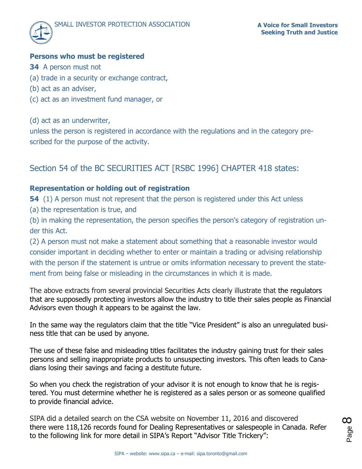# **Persons who must be registered**

- **34** A person must not
- (a) trade in a security or exchange contract,
- (b) act as an adviser,
- (c) act as an investment fund manager, or
- (d) act as an underwriter,

unless the person is registered in accordance with the regulations and in the category prescribed for the purpose of the activity.

# Section 54 of the BC SECURITIES ACT [RSBC 1996] CHAPTER 418 states:

# **Representation or holding out of registration**

**54** (1) A person must not represent that the person is registered under this Act unless

(a) the representation is true, and

(b) in making the representation, the person specifies the person's category of registration under this Act.

(2) A person must not make a statement about something that a reasonable investor would consider important in deciding whether to enter or maintain a trading or advising relationship with the person if the statement is untrue or omits information necessary to prevent the statement from being false or misleading in the circumstances in which it is made.

The above extracts from several provincial Securities Acts clearly illustrate that the regulators that are supposedly protecting investors allow the industry to title their sales people as Financial Advisors even though it appears to be against the law.

In the same way the regulators claim that the title "Vice President" is also an unregulated business title that can be used by anyone.

The use of these false and misleading titles facilitates the industry gaining trust for their sales persons and selling inappropriate products to unsuspecting investors. This often leads to Canadians losing their savings and facing a destitute future.

So when you check the registration of your advisor it is not enough to know that he is registered. You must determine whether he is registered as a sales person or as someone qualified to provide financial advice.

SIPA did a detailed search on the CSA website on November 11, 2016 and discovered there were 118,126 records found for Dealing Representatives or salespeople in Canada. Refer to the following link for more detail in SIPA's Report "Advisor Title Trickery":